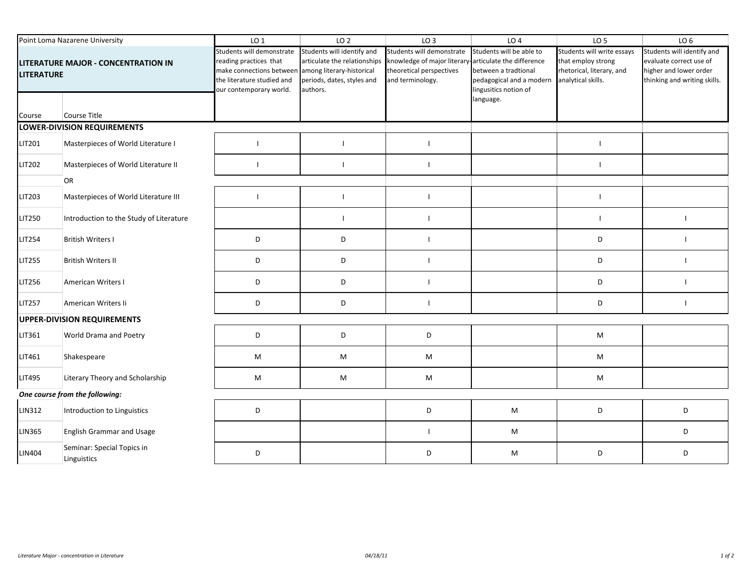| Point Loma Nazarene University                           |                                             | LO <sub>1</sub>                                                                                                                                                    | LO <sub>2</sub>                                                                                      | LO <sub>3</sub>                                                                                                                    | LO <sub>4</sub>                                                                                                    | LO <sub>5</sub>                                                                                     | LO <sub>6</sub>                                                                                                 |
|----------------------------------------------------------|---------------------------------------------|--------------------------------------------------------------------------------------------------------------------------------------------------------------------|------------------------------------------------------------------------------------------------------|------------------------------------------------------------------------------------------------------------------------------------|--------------------------------------------------------------------------------------------------------------------|-----------------------------------------------------------------------------------------------------|-----------------------------------------------------------------------------------------------------------------|
| LITERATURE MAJOR - CONCENTRATION IN<br><b>LITERATURE</b> |                                             | Students will demonstrate<br>reading practices that<br>make connections between among literary-historical<br>the literature studied and<br>our contemporary world. | Students will identify and<br>articulate the relationships<br>periods, dates, styles and<br>authors. | Students will demonstrate<br>knowledge of major literary-articulate the difference<br>theoretical perspectives<br>and terminology. | Students will be able to<br>between a tradtional<br>pedagogical and a modern<br>lingusitics notion of<br>language. | Students will write essays<br>that employ strong<br>rhetorical, literary, and<br>analytical skills. | Students will identify and<br>evaluate correct use of<br>higher and lower order<br>thinking and writing skills. |
| Course                                                   | Course Title<br>LOWER-DIVISION REQUIREMENTS |                                                                                                                                                                    |                                                                                                      |                                                                                                                                    |                                                                                                                    |                                                                                                     |                                                                                                                 |
|                                                          |                                             |                                                                                                                                                                    |                                                                                                      |                                                                                                                                    |                                                                                                                    |                                                                                                     |                                                                                                                 |
| LIT201                                                   | Masterpieces of World Literature I          |                                                                                                                                                                    | $\overline{\phantom{a}}$                                                                             | $\mathbf{I}$                                                                                                                       |                                                                                                                    | ı                                                                                                   |                                                                                                                 |
| LIT202                                                   | Masterpieces of World Literature II         |                                                                                                                                                                    |                                                                                                      | $\mathbf{I}$                                                                                                                       |                                                                                                                    |                                                                                                     |                                                                                                                 |
|                                                          | OR                                          |                                                                                                                                                                    |                                                                                                      |                                                                                                                                    |                                                                                                                    |                                                                                                     |                                                                                                                 |
| LIT203                                                   | Masterpieces of World Literature III        | $\mathbf{I}$                                                                                                                                                       | $\mathbf{I}$                                                                                         | $\mathbf{I}$                                                                                                                       |                                                                                                                    | I.                                                                                                  |                                                                                                                 |
| LIT250                                                   | Introduction to the Study of Literature     |                                                                                                                                                                    | $\mathbf{I}$                                                                                         | $\mathbf{I}$                                                                                                                       |                                                                                                                    | $\mathbf{I}$                                                                                        | -1                                                                                                              |
| <b>LIT254</b>                                            | <b>British Writers I</b>                    | D                                                                                                                                                                  | D                                                                                                    | $\mathbf{I}$                                                                                                                       |                                                                                                                    | D                                                                                                   |                                                                                                                 |
| LIT255                                                   | <b>British Writers II</b>                   | D                                                                                                                                                                  | D                                                                                                    |                                                                                                                                    |                                                                                                                    | D                                                                                                   |                                                                                                                 |
| LIT256                                                   | American Writers I                          | D                                                                                                                                                                  | D                                                                                                    | $\mathbf{I}$                                                                                                                       |                                                                                                                    | D                                                                                                   |                                                                                                                 |
| LIT257                                                   | American Writers Ii                         | D                                                                                                                                                                  | D                                                                                                    | $\mathbf{I}$                                                                                                                       |                                                                                                                    | D                                                                                                   |                                                                                                                 |
|                                                          | <b>UPPER-DIVISION REQUIREMENTS</b>          |                                                                                                                                                                    |                                                                                                      |                                                                                                                                    |                                                                                                                    |                                                                                                     |                                                                                                                 |
| LIT361                                                   | World Drama and Poetry                      | D                                                                                                                                                                  | D                                                                                                    | D                                                                                                                                  |                                                                                                                    | M                                                                                                   |                                                                                                                 |
| LIT461                                                   | Shakespeare                                 | M                                                                                                                                                                  | M                                                                                                    | M                                                                                                                                  |                                                                                                                    | M                                                                                                   |                                                                                                                 |
| LIT495                                                   | Literary Theory and Scholarship             | M                                                                                                                                                                  | M                                                                                                    | M                                                                                                                                  |                                                                                                                    | M                                                                                                   |                                                                                                                 |
|                                                          | One course from the following:              |                                                                                                                                                                    |                                                                                                      |                                                                                                                                    |                                                                                                                    |                                                                                                     |                                                                                                                 |
| <b>LIN312</b>                                            | Introduction to Linguistics                 | D                                                                                                                                                                  |                                                                                                      | D                                                                                                                                  | M                                                                                                                  | D                                                                                                   | D                                                                                                               |
| LIN365                                                   | <b>English Grammar and Usage</b>            |                                                                                                                                                                    |                                                                                                      | $\mathbf{I}$                                                                                                                       | M                                                                                                                  |                                                                                                     | D                                                                                                               |
| LIN404                                                   | Seminar: Special Topics in<br>Linguistics   | D                                                                                                                                                                  |                                                                                                      | D                                                                                                                                  | M                                                                                                                  | D                                                                                                   | D                                                                                                               |